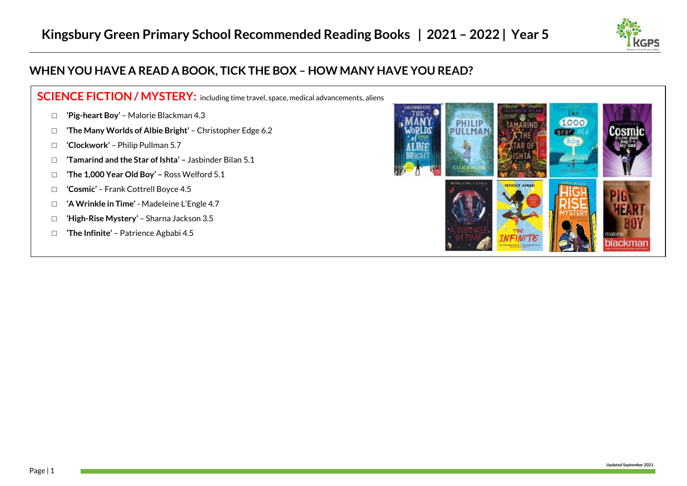

## **WHEN YOU HAVE A READ A BOOK, TICK THE BOX – HOW MANY HAVE YOU READ?**

## **SCIENCE FICTION / MYSTERY:** including time travel, space, medical advancements, aliens

- **□ 'Pig-heart Boy'** Malorie Blackman 4.3
- **□ 'The Many Worlds of Albie Bright'** Christopher Edge 6.2
- **□ 'Clockwork'** Philip Pullman 5.7
- **□ 'Tamarind and the Star of Ishta' –** Jasbinder Bilan 5.1
- **□ 'The 1,000 Year Old Boy' –** Ross Welford 5.1
- **□ 'Cosmic'** Frank Cottrell Boyce 4.5
- □ **'A Wrinkle in Time'** Madeleine L'Engle 4.7
- **□ 'High-Rise Mystery'** Sharna Jackson 3.5
- **□ 'The Infinite'** Patrience Agbabi 4.5

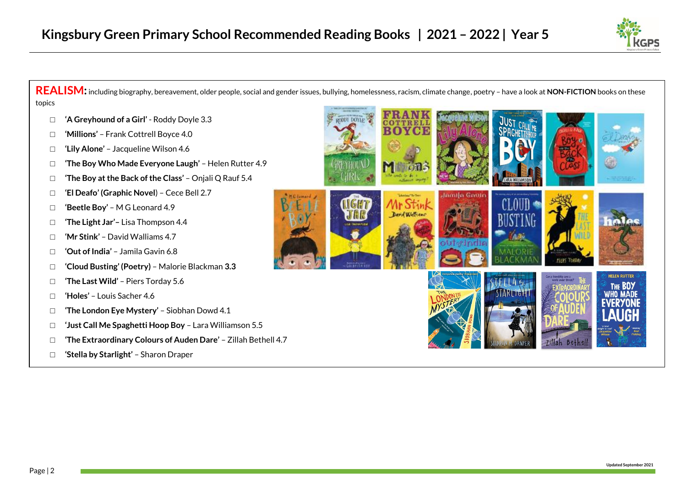

**REALISM:**including biography, bereavement, older people, social and gender issues, bullying, homelessness, racism, climate change, poetry – have a look at **NON-FICTION** books on these topics

- **□ 'A Greyhound of a Girl'** Roddy Doyle 3.3
- **□ 'Millions'** Frank Cottrell Boyce 4.0
- **□ 'Lily Alone'** Jacqueline Wilson 4.6
- **□ 'The Boy Who Made Everyone Laugh'**  Helen Rutter 4.9
- **□ 'The Boy at the Back of the Class'** Onjali Q Rauf 5.4
- **□ 'El Deafo' (Graphic Novel**) Cece Bell 2.7
- **□ 'Beetle Boy'** M G Leonard 4.9
- **□ 'The Light Jar'–** Lisa Thompson 4.4
- **□ 'Mr Stink'** David Walliams 4.7
- **□ 'Out of India'** Jamila Gavin 6.8
- **□ 'Cloud Busting' (Poetry)**  Malorie Blackman **3.3**
- **□ 'The Last Wild'**  Piers Torday 5.6
- **□ 'Holes'** Louis Sacher 4.6
- **□ 'The London Eye Mystery'** Siobhan Dowd 4.1
- **□ 'Just Call Me Spaghetti Hoop Boy** Lara Williamson 5.5
- **□ 'The Extraordinary Colours of Auden Dare'** Zillah Bethell 4.7
- **□ 'Stella by Starlight'** Sharon Draper

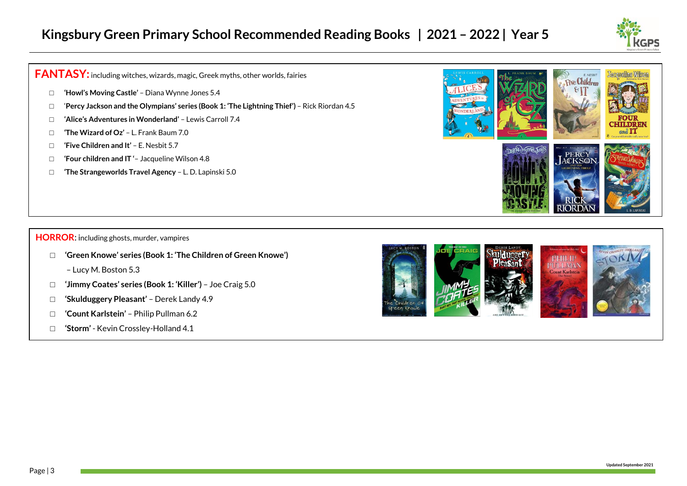

**FANTASY:**including witches, wizards, magic, Greek myths, other worlds, fairies

- **□ 'Howl's Moving Castle'** Diana Wynne Jones 5.4
- **□** '**Percy Jackson and the Olympians' series (Book 1: 'The Lightning Thief')**  Rick Riordan 4.5
- **□ 'Alice's Adventures in Wonderland'** Lewis Carroll 7.4
- **□ 'The Wizard of Oz'**  L. Frank Baum 7.0
- **□ 'Five Children and It'** E. Nesbit 5.7
- **□ 'Four children and IT '** Jacqueline Wilson 4.8
- **□ 'The Strangeworlds Travel Agency** L. D. Lapinski 5.0



## **HORROR**: including ghosts, murder, vampires

- **□ 'Green Knowe' series (Book 1: 'The Children of Green Knowe')**
	- Lucy M. Boston 5.3
- **□ 'Jimmy Coates' series (Book 1: 'Killer')** Joe Craig 5.0
- **□ 'Skulduggery Pleasant'**  Derek Landy 4.9
- **□ 'Count Karlstein'** Philip Pullman 6.2
- **□ 'Storm'** Kevin Crossley-Holland 4.1